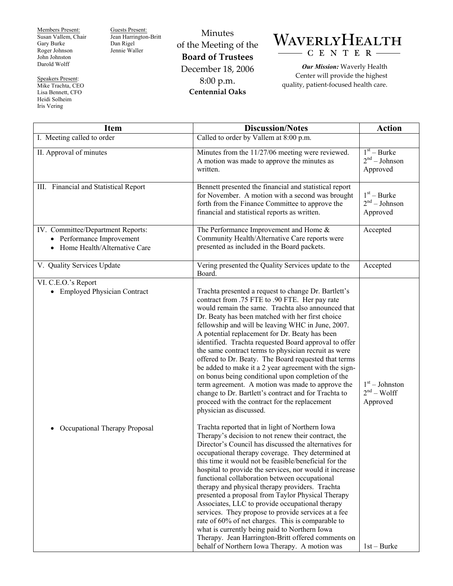Members Present: Susan Vallem, Chair Gary Burke Roger Johnson John Johnston Darold Wolff

Speakers Present: Mike Trachta, CEO Lisa Bennett, CFO Heidi Solheim Iris Vering

Guests Present: Jean Harrington-Britt Dan Rigel Jennie Waller

Minutes of the Meeting of the **Board of Trustees**  December 18, 2006 8:00 p.m. **Centennial Oaks** 



*Our Mission:* Waverly Health Center will provide the highest quality, patient-focused health care.

| <b>Item</b>                                                                                                 | <b>Discussion/Notes</b>                                                                                                                                                                                                                                                                                                                                                                                                                                                                                                                                                                                                                                                                                                                                                                                                                                                                                                                                                                                                                                                                                                                                                                                                                                                                                                                                        | <b>Action</b>                                |
|-------------------------------------------------------------------------------------------------------------|----------------------------------------------------------------------------------------------------------------------------------------------------------------------------------------------------------------------------------------------------------------------------------------------------------------------------------------------------------------------------------------------------------------------------------------------------------------------------------------------------------------------------------------------------------------------------------------------------------------------------------------------------------------------------------------------------------------------------------------------------------------------------------------------------------------------------------------------------------------------------------------------------------------------------------------------------------------------------------------------------------------------------------------------------------------------------------------------------------------------------------------------------------------------------------------------------------------------------------------------------------------------------------------------------------------------------------------------------------------|----------------------------------------------|
| I. Meeting called to order                                                                                  | Called to order by Vallem at 8:00 p.m.                                                                                                                                                                                                                                                                                                                                                                                                                                                                                                                                                                                                                                                                                                                                                                                                                                                                                                                                                                                                                                                                                                                                                                                                                                                                                                                         |                                              |
| II. Approval of minutes                                                                                     | Minutes from the 11/27/06 meeting were reviewed.<br>A motion was made to approve the minutes as<br>written.                                                                                                                                                                                                                                                                                                                                                                                                                                                                                                                                                                                                                                                                                                                                                                                                                                                                                                                                                                                                                                                                                                                                                                                                                                                    | $1st - Burke$<br>$2nd - Johnson$<br>Approved |
| III. Financial and Statistical Report                                                                       | Bennett presented the financial and statistical report<br>for November. A motion with a second was brought<br>forth from the Finance Committee to approve the<br>financial and statistical reports as written.                                                                                                                                                                                                                                                                                                                                                                                                                                                                                                                                                                                                                                                                                                                                                                                                                                                                                                                                                                                                                                                                                                                                                 | $1st - Burke$<br>$2nd - Johnson$<br>Approved |
| IV. Committee/Department Reports:<br>• Performance Improvement<br>Home Health/Alternative Care<br>$\bullet$ | The Performance Improvement and Home $\&$<br>Community Health/Alternative Care reports were<br>presented as included in the Board packets.                                                                                                                                                                                                                                                                                                                                                                                                                                                                                                                                                                                                                                                                                                                                                                                                                                                                                                                                                                                                                                                                                                                                                                                                                     | Accepted                                     |
| V. Quality Services Update                                                                                  | Vering presented the Quality Services update to the<br>Board.                                                                                                                                                                                                                                                                                                                                                                                                                                                                                                                                                                                                                                                                                                                                                                                                                                                                                                                                                                                                                                                                                                                                                                                                                                                                                                  | Accepted                                     |
| VI. C.E.O.'s Report<br>• Employed Physician Contract<br>Occupational Therapy Proposal                       | Trachta presented a request to change Dr. Bartlett's<br>contract from .75 FTE to .90 FTE. Her pay rate<br>would remain the same. Trachta also announced that<br>Dr. Beaty has been matched with her first choice<br>fellowship and will be leaving WHC in June, 2007.<br>A potential replacement for Dr. Beaty has been<br>identified. Trachta requested Board approval to offer<br>the same contract terms to physician recruit as were<br>offered to Dr. Beaty. The Board requested that terms<br>be added to make it a 2 year agreement with the sign-<br>on bonus being conditional upon completion of the<br>term agreement. A motion was made to approve the<br>change to Dr. Bartlett's contract and for Trachta to<br>proceed with the contract for the replacement<br>physician as discussed.<br>Trachta reported that in light of Northern Iowa<br>Therapy's decision to not renew their contract, the<br>Director's Council has discussed the alternatives for<br>occupational therapy coverage. They determined at<br>this time it would not be feasible/beneficial for the<br>hospital to provide the services, nor would it increase<br>functional collaboration between occupational<br>therapy and physical therapy providers. Trachta<br>presented a proposal from Taylor Physical Therapy<br>Associates, LLC to provide occupational therapy | $1st - Johnston$<br>$2nd - Wolf$<br>Approved |
|                                                                                                             | services. They propose to provide services at a fee<br>rate of 60% of net charges. This is comparable to<br>what is currently being paid to Northern Iowa<br>Therapy. Jean Harrington-Britt offered comments on<br>behalf of Northern Iowa Therapy. A motion was                                                                                                                                                                                                                                                                                                                                                                                                                                                                                                                                                                                                                                                                                                                                                                                                                                                                                                                                                                                                                                                                                               | $1st - Burke$                                |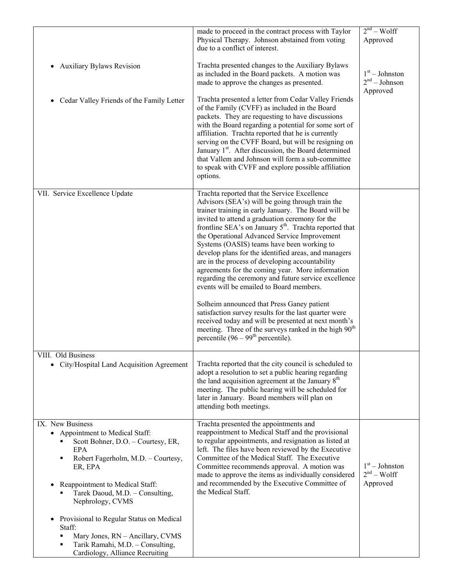|                                                                                                                                                                                                                                                                                                                                                                                                                                                     | made to proceed in the contract process with Taylor<br>Physical Therapy. Johnson abstained from voting<br>due to a conflict of interest.                                                                                                                                                                                                                                                                                                                                                                                                                                                                                                                                                                                                                                                                                                                                                                                       | $2nd - Wolf$<br>Approved                        |
|-----------------------------------------------------------------------------------------------------------------------------------------------------------------------------------------------------------------------------------------------------------------------------------------------------------------------------------------------------------------------------------------------------------------------------------------------------|--------------------------------------------------------------------------------------------------------------------------------------------------------------------------------------------------------------------------------------------------------------------------------------------------------------------------------------------------------------------------------------------------------------------------------------------------------------------------------------------------------------------------------------------------------------------------------------------------------------------------------------------------------------------------------------------------------------------------------------------------------------------------------------------------------------------------------------------------------------------------------------------------------------------------------|-------------------------------------------------|
| Auxiliary Bylaws Revision<br>$\bullet$                                                                                                                                                                                                                                                                                                                                                                                                              | Trachta presented changes to the Auxiliary Bylaws<br>as included in the Board packets. A motion was<br>made to approve the changes as presented.                                                                                                                                                                                                                                                                                                                                                                                                                                                                                                                                                                                                                                                                                                                                                                               | $1st - Johnston$<br>$2nd - Johnson$<br>Approved |
| Cedar Valley Friends of the Family Letter<br>٠                                                                                                                                                                                                                                                                                                                                                                                                      | Trachta presented a letter from Cedar Valley Friends<br>of the Family (CVFF) as included in the Board<br>packets. They are requesting to have discussions<br>with the Board regarding a potential for some sort of<br>affiliation. Trachta reported that he is currently<br>serving on the CVFF Board, but will be resigning on<br>January 1 <sup>st</sup> . After discussion, the Board determined<br>that Vallem and Johnson will form a sub-committee<br>to speak with CVFF and explore possible affiliation<br>options.                                                                                                                                                                                                                                                                                                                                                                                                    |                                                 |
| VII. Service Excellence Update                                                                                                                                                                                                                                                                                                                                                                                                                      | Trachta reported that the Service Excellence<br>Advisors (SEA's) will be going through train the<br>trainer training in early January. The Board will be<br>invited to attend a graduation ceremony for the<br>frontline SEA's on January 5 <sup>th</sup> . Trachta reported that<br>the Operational Advanced Service Improvement<br>Systems (OASIS) teams have been working to<br>develop plans for the identified areas, and managers<br>are in the process of developing accountability<br>agreements for the coming year. More information<br>regarding the ceremony and future service excellence<br>events will be emailed to Board members.<br>Solheim announced that Press Ganey patient<br>satisfaction survey results for the last quarter were<br>received today and will be presented at next month's<br>meeting. Three of the surveys ranked in the high 90 <sup>th</sup><br>percentile $(96 - 99th$ percentile). |                                                 |
| VIII. Old Business<br>City/Hospital Land Acquisition Agreement<br>$\bullet$                                                                                                                                                                                                                                                                                                                                                                         | Trachta reported that the city council is scheduled to<br>adopt a resolution to set a public hearing regarding<br>the land acquisition agreement at the January 8 <sup>th</sup><br>meeting. The public hearing will be scheduled for<br>later in January. Board members will plan on<br>attending both meetings.                                                                                                                                                                                                                                                                                                                                                                                                                                                                                                                                                                                                               |                                                 |
| IX. New Business<br>Appointment to Medical Staff:<br>$\bullet$<br>Scott Bohner, D.O. - Courtesy, ER,<br>EPA<br>Robert Fagerholm, M.D. - Courtesy,<br>٠<br>ER, EPA<br>Reappointment to Medical Staff:<br>Tarek Daoud, M.D. - Consulting,<br>Nephrology, CVMS<br>Provisional to Regular Status on Medical<br>٠<br>Staff:<br>Mary Jones, RN - Ancillary, CVMS<br>Tarik Ramahi, M.D. - Consulting,<br>$\blacksquare$<br>Cardiology, Alliance Recruiting | Trachta presented the appointments and<br>reappointment to Medical Staff and the provisional<br>to regular appointments, and resignation as listed at<br>left. The files have been reviewed by the Executive<br>Committee of the Medical Staff. The Executive<br>Committee recommends approval. A motion was<br>made to approve the items as individually considered<br>and recommended by the Executive Committee of<br>the Medical Staff.                                                                                                                                                                                                                                                                                                                                                                                                                                                                                    | $1st - Johnston$<br>$2nd - Wolf$<br>Approved    |